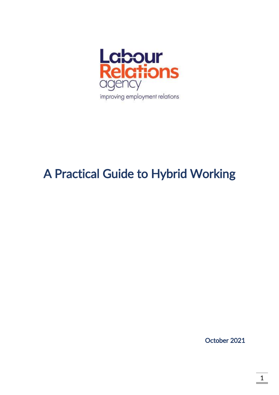

# A Practical Guide to Hybrid Working

October 2021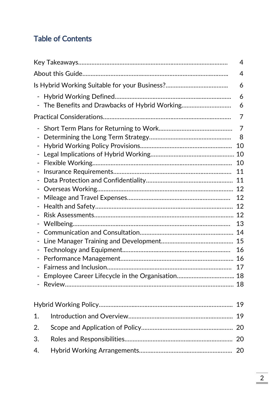# Table of Contents

|                                                   | $\overline{4}$ |
|---------------------------------------------------|----------------|
|                                                   | $\overline{4}$ |
|                                                   | 6              |
| $\overline{\phantom{0}}$                          | 6<br>6         |
|                                                   | 7              |
| $\qquad \qquad \blacksquare$<br>-<br>-            | 7<br>8<br>10   |
| $\qquad \qquad \blacksquare$                      |                |
| $\qquad \qquad \blacksquare$<br>$\qquad \qquad -$ | 10<br>11       |
| $\overline{a}$                                    | 11             |
| $\overline{\phantom{0}}$<br>-                     | 12<br>12       |
| $\overline{\phantom{0}}$                          | 12             |
| $\qquad \qquad \blacksquare$                      | 12             |
| $\qquad \qquad \blacksquare$                      | 13             |
| $\overline{a}$                                    | 14             |
| -                                                 |                |
| $\qquad \qquad \blacksquare$                      | 16             |
|                                                   |                |
|                                                   | 17             |
|                                                   |                |
|                                                   | 19             |
| 1.                                                | 19             |
| 2.                                                |                |
| 3.                                                |                |
| 4.                                                | 20             |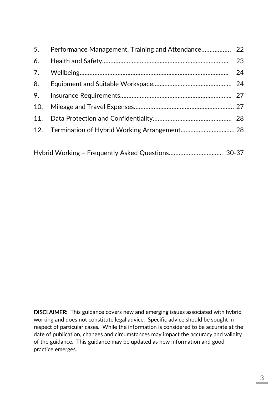| 5.  |    |
|-----|----|
| 6.  | 23 |
| 7.  |    |
| 8.  |    |
| 9.  |    |
| 10. |    |
| 11. |    |
|     |    |
|     |    |

|--|--|

DISCLAIMER: This guidance covers new and emerging issues associated with hybrid working and does not constitute legal advice. Specific advice should be sought in respect of particular cases. While the information is considered to be accurate at the date of publication, changes and circumstances may impact the accuracy and validity of the guidance. This guidance may be updated as new information and good practice emerges.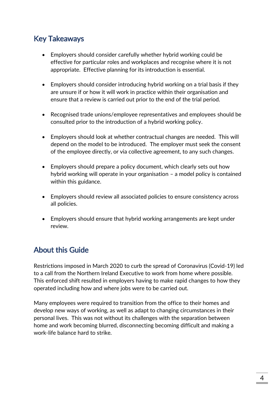# Key Takeaways

- Employers should consider carefully whether hybrid working could be effective for particular roles and workplaces and recognise where it is not appropriate. Effective planning for its introduction is essential.
- Employers should consider introducing hybrid working on a trial basis if they are unsure if or how it will work in practice within their organisation and ensure that a review is carried out prior to the end of the trial period.
- Recognised trade unions/employee representatives and employees should be consulted prior to the introduction of a hybrid working policy.
- Employers should look at whether contractual changes are needed. This will depend on the model to be introduced. The employer must seek the consent of the employee directly, or via collective agreement, to any such changes.
- Employers should prepare a policy document, which clearly sets out how hybrid working will operate in your organisation – a model policy is contained within this guidance.
- Employers should review all associated policies to ensure consistency across all policies.
- Employers should ensure that hybrid working arrangements are kept under review.

# About this Guide

Restrictions imposed in March 2020 to curb the spread of Coronavirus (Covid-19) led to a call from the Northern Ireland Executive to work from home where possible. This enforced shift resulted in employers having to make rapid changes to how they operated including how and where jobs were to be carried out.

Many employees were required to transition from the office to their homes and develop new ways of working, as well as adapt to changing circumstances in their personal lives. This was not without its challenges with the separation between home and work becoming blurred, disconnecting becoming difficult and making a work-life balance hard to strike.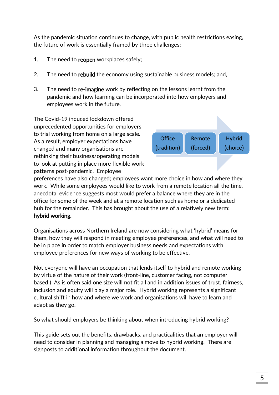As the pandemic situation continues to change, with public health restrictions easing, the future of work is essentially framed by three challenges:

- 1. The need to reopen workplaces safely;
- 2. The need to rebuild the economy using sustainable business models; and,
- 3. The need to re-imagine work by reflecting on the lessons learnt from the pandemic and how learning can be incorporated into how employers and employees work in the future.

The Covid-19 induced lockdown offered unprecedented opportunities for employers to trial working from home on a large scale. As a result, employer expectations have changed and many organisations are rethinking their business/operating models to look at putting in place more flexible work patterns post-pandemic. Employee



preferences have also changed; employees want more choice in how and where they work. While some employees would like to work from a remote location all the time, anecdotal evidence suggests most would prefer a balance where they are in the office for some of the week and at a remote location such as home or a dedicated hub for the remainder. This has brought about the use of a relatively new term: hybrid working.

Organisations across Northern Ireland are now considering what 'hybrid' means for them, how they will respond in meeting employee preferences, and what will need to be in place in order to match employer business needs and expectations with employee preferences for new ways of working to be effective.

Not everyone will have an occupation that lends itself to hybrid and remote working by virtue of the nature of their work (front-line, customer facing, not computer based.) As is often said one size will not fit all and in addition issues of trust, fairness, inclusion and equity will play a major role. Hybrid working represents a significant cultural shift in how and where we work and organisations will have to learn and adapt as they go.

So what should employers be thinking about when introducing hybrid working?

This guide sets out the benefits, drawbacks, and practicalities that an employer will need to consider in planning and managing a move to hybrid working. There are signposts to additional information throughout the document.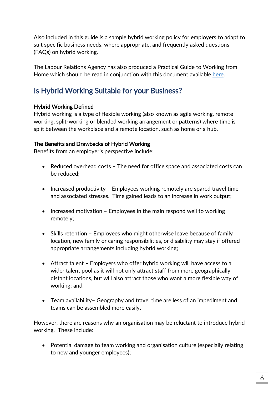Also included in this guide is a sample hybrid working policy for employers to adapt to suit specific business needs, where appropriate, and frequently asked questions (FAQs) on hybrid working.

The Labour Relations Agency has also produced a Practical Guide to Working from Home which should be read in conjunction with this document available [here.](https://www.lra.org.uk/resources/practical-guide-working-home-covid-19-and-beyond)

# Is Hybrid Working Suitable for your Business?

#### Hybrid Working Defined

Hybrid working is a type of flexible working (also known as agile working, remote working, split-working or blended working arrangement or patterns) where time is split between the workplace and a remote location, such as home or a hub.

#### The Benefits and Drawbacks of Hybrid Working

Benefits from an employer's perspective include:

- Reduced overhead costs The need for office space and associated costs can be reduced;
- Increased productivity Employees working remotely are spared travel time and associated stresses. Time gained leads to an increase in work output;
- $\bullet$  Increased motivation Employees in the main respond well to working remotely;
- Skills retention Employees who might otherwise leave because of family location, new family or caring responsibilities, or disability may stay if offered appropriate arrangements including hybrid working;
- Attract talent Employers who offer hybrid working will have access to a wider talent pool as it will not only attract staff from more geographically distant locations, but will also attract those who want a more flexible way of working; and,
- Team availability– Geography and travel time are less of an impediment and teams can be assembled more easily.

However, there are reasons why an organisation may be reluctant to introduce hybrid working. These include:

 Potential damage to team working and organisation culture (especially relating to new and younger employees);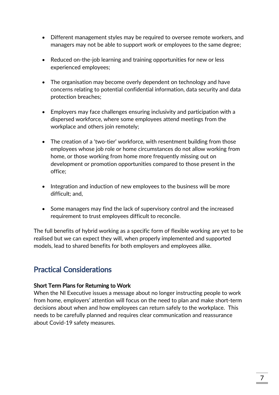- Different management styles may be required to oversee remote workers, and managers may not be able to support work or employees to the same degree;
- Reduced on-the-job learning and training opportunities for new or less experienced employees;
- The organisation may become overly dependent on technology and have concerns relating to potential confidential information, data security and data protection breaches;
- Employers may face challenges ensuring inclusivity and participation with a dispersed workforce, where some employees attend meetings from the workplace and others join remotely;
- The creation of a 'two-tier' workforce, with resentment building from those employees whose job role or home circumstances do not allow working from home, or those working from home more frequently missing out on development or promotion opportunities compared to those present in the office;
- Integration and induction of new employees to the business will be more difficult; and,
- Some managers may find the lack of supervisory control and the increased requirement to trust employees difficult to reconcile.

The full benefits of hybrid working as a specific form of flexible working are yet to be realised but we can expect they will, when properly implemented and supported models, lead to shared benefits for both employers and employees alike.

# Practical Considerations

#### Short Term Plans for Returning to Work

When the NI Executive issues a message about no longer instructing people to work from home, employers' attention will focus on the need to plan and make short-term decisions about when and how employees can return safely to the workplace. This needs to be carefully planned and requires clear communication and reassurance about Covid-19 safety measures.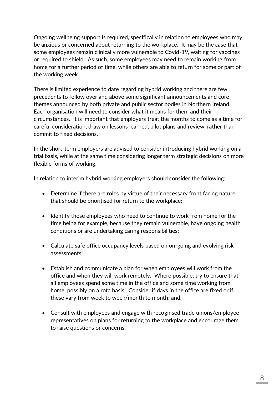Ongoing wellbeing support is required, specifically in relation to employees who may be anxious or concerned about returning to the workplace. It may be the case that some employees remain clinically more vulnerable to Covid-19, waiting for vaccines or required to shield. As such, some employees may need to remain working from home for a further period of time, while others are able to return for some or part of the working week.

There is limited experience to date regarding hybrid working and there are few precedents to follow over and above some significant announcements and core themes announced by both private and public sector bodies in Northern Ireland. Each organisation will need to consider what it means for them and their circumstances. It is important that employers treat the months to come as a time for careful consideration, draw on lessons learned, pilot plans and review, rather than commit to fixed decisions.

In the short-term employers are advised to consider introducing hybrid working on a trial basis, while at the same time considering longer term strategic decisions on more flexible forms of working.

In relation to interim hybrid working employers should consider the following:

- Determine if there are roles by virtue of their necessary front facing nature that should be prioritised for return to the workplace;
- Identify those employees who need to continue to work from home for the time being for example, because they remain vulnerable, have ongoing health conditions or are undertaking caring responsibilities;
- Calculate safe office occupancy levels based on on-going and evolving risk assessments;
- Establish and communicate a plan for when employees will work from the office and when they will work remotely. Where possible, try to ensure that all employees spend some time in the office and some time working from home, possibly on a rota basis. Consider if days in the office are fixed or if these vary from week to week/month to month; and,
- Consult with employees and engage with recognised trade unions/employee representatives on plans for returning to the workplace and encourage them to raise questions or concerns.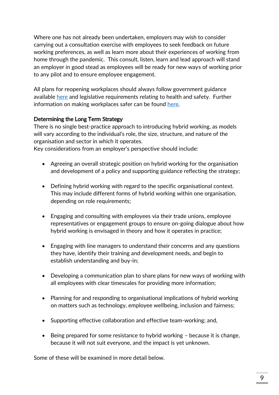Where one has not already been undertaken, employers may wish to consider carrying out a consultation exercise with employees to seek feedback on future working preferences, as well as learn more about their experiences of working from home through the pandemic. This consult, listen, learn and lead approach will stand an employer in good stead as employees will be ready for new ways of working prior to any pilot and to ensure employee engagement.

All plans for reopening workplaces should always follow government guidance available [here](https://www.nibusinessinfo.co.uk/content/coronavirus-working-safely-different-business-settings) and legislative requirements relating to health and safety. Further information on making workplaces safer can be found [here.](https://www.lra.org.uk/resources/covid-19-working-through-it-together-practical-guide-making-workplaces-safer)

#### Determining the Long Term Strategy

There is no single best-practice approach to introducing hybrid working, as models will vary according to the individual's role, the size, structure, and nature of the organisation and sector in which it operates.

Key considerations from an employer's perspective should include:

- Agreeing an overall strategic position on hybrid working for the organisation and development of a policy and supporting guidance reflecting the strategy;
- Defining hybrid working with regard to the specific organisational context. This may include different forms of hybrid working within one organisation, depending on role requirements;
- Engaging and consulting with employees via their trade unions, employee representatives or engagement groups to ensure on-going dialogue about how hybrid working is envisaged in theory and how it operates in practice;
- Engaging with line managers to understand their concerns and any questions they have, identify their training and development needs, and begin to establish understanding and buy-in;
- Developing a communication plan to share plans for new ways of working with all employees with clear timescales for providing more information;
- Planning for and responding to organisational implications of hybrid working on matters such as technology, employee wellbeing, inclusion and fairness;
- Supporting effective collaboration and effective team-working; and,
- Being prepared for some resistance to hybrid working because it is change, because it will not suit everyone, and the impact is yet unknown.

Some of these will be examined in more detail below.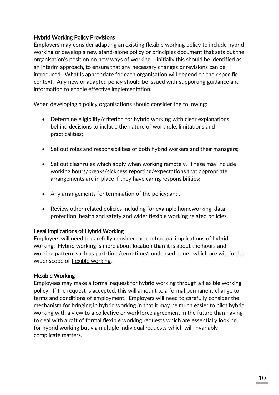#### Hybrid Working Policy Provisions

Employers may consider adapting an existing flexible working policy to include hybrid working or develop a new stand-alone policy or principles document that sets out the organisation's position on new ways of working – initially this should be identified as an interim approach, to ensure that any necessary changes or revisions can be introduced. What is appropriate for each organisation will depend on their specific context. Any new or adapted policy should be issued with supporting guidance and information to enable effective implementation.

When developing a policy organisations should consider the following:

- Determine eligibility/criterion for hybrid working with clear explanations behind decisions to include the nature of work role, limitations and practicalities;
- Set out roles and responsibilities of both hybrid workers and their managers;
- Set out clear rules which apply when working remotely. These may include working hours/breaks/sickness reporting/expectations that appropriate arrangements are in place if they have caring responsibilities;
- Any arrangements for termination of the policy; and,
- Review other related policies including for example homeworking, data protection, health and safety and wider flexible working related policies.

#### Legal Implications of Hybrid Working

Employers will need to carefully consider the contractual implications of hybrid working. Hybrid working is more about location than it is about the hours and working pattern, such as part-time/term-time/condensed hours, which are within the wider scope of flexible working.

#### Flexible Working

Employees may make a formal request for hybrid working through a flexible working policy. If the request is accepted, this will amount to a formal permanent change to terms and conditions of employment. Employers will need to carefully consider the mechanism for bringing in hybrid working in that it may be much easier to pilot hybrid working with a view to a collective or workforce agreement in the future than having to deal with a raft of formal flexible working requests which are essentially looking for hybrid working but via multiple individual requests which will invariably complicate matters.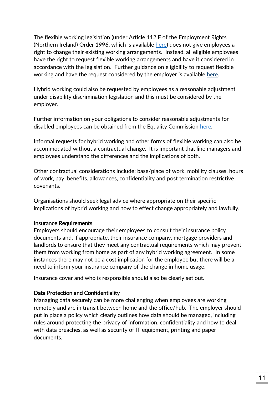The flexible working legislation (under Article 112 F of the Employment Rights (Northern Ireland) Order 1996, which is available [here\)](https://www.legislation.gov.uk/nisi/1996/1919/part/IXA) does not give employees a right to change their existing working arrangements. Instead, all eligible employees have the right to request flexible working arrangements and have it considered in accordance with the legislation. Further guidance on eligibility to request flexible working and have the request considered by the employer is available [here.](https://www.lra.org.uk/resources/advisory-guide/flexible-working-law-and-good-practice-guide-employers)

Hybrid working could also be requested by employees as a reasonable adjustment under disability discrimination legislation and this must be considered by the employer.

Further information on your obligations to consider reasonable adjustments for disabled employees can be obtained from the Equality Commission [here.](https://www.equalityni.org/ECNI/media/ECNI/Publications/Employers%20and%20Service%20Providers/DisabilityEmploymentCoPupdatedMay13.pdf)

Informal requests for hybrid working and other forms of flexible working can also be accommodated without a contractual change. It is important that line managers and employees understand the differences and the implications of both.

Other contractual considerations include; base/place of work, mobility clauses, hours of work, pay, benefits, allowances, confidentiality and post termination restrictive covenants.

Organisations should seek legal advice where appropriate on their specific implications of hybrid working and how to effect change appropriately and lawfully.

#### Insurance Requirements

Employers should encourage their employees to consult their insurance policy documents and, if appropriate, their insurance company, mortgage providers and landlords to ensure that they meet any contractual requirements which may prevent them from working from home as part of any hybrid working agreement. In some instances there may not be a cost implication for the employee but there will be a need to inform your insurance company of the change in home usage.

Insurance cover and who is responsible should also be clearly set out.

#### Data Protection and Confidentiality

Managing data securely can be more challenging when employees are working remotely and are in transit between home and the office/hub. The employer should put in place a policy which clearly outlines how data should be managed, including rules around protecting the privacy of information, confidentiality and how to deal with data breaches, as well as security of IT equipment, printing and paper documents.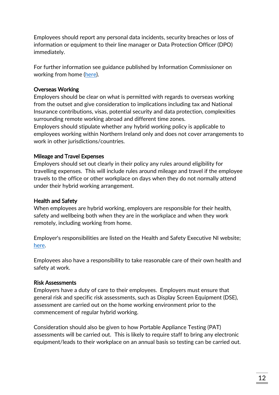Employees should report any personal data incidents, security breaches or loss of information or equipment to their line manager or Data Protection Officer (DPO) immediately.

For further information see guidance published by Information Commissioner on working from home [\(here\)](https://ico.org.uk/for-organisations/working-from-home/).

#### Overseas Working

Employers should be clear on what is permitted with regards to overseas working from the outset and give consideration to implications including tax and National Insurance contributions, visas, potential security and data protection, complexities surrounding remote working abroad and different time zones.

Employers should stipulate whether any hybrid working policy is applicable to employees working within Northern Ireland only and does not cover arrangements to work in other jurisdictions/countries.

#### Mileage and Travel Expenses

Employers should set out clearly in their policy any rules around eligibility for travelling expenses. This will include rules around mileage and travel if the employee travels to the office or other workplace on days when they do not normally attend under their hybrid working arrangement.

#### Health and Safety

When employees are hybrid working, employers are responsible for their health, safety and wellbeing both when they are in the workplace and when they work remotely, including working from home.

Employer's responsibilities are listed on the Health and Safety Executive NI website; [here.](https://www.hseni.gov.uk/articles/advice-employers-protecting-home-workers-advice-hse-gb)

Employees also have a responsibility to take reasonable care of their own health and safety at work.

#### Risk Assessments

Employers have a duty of care to their employees. Employers must ensure that general risk and specific risk assessments, such as Display Screen Equipment (DSE), assessment are carried out on the home working environment prior to the commencement of regular hybrid working.

Consideration should also be given to how Portable Appliance Testing (PAT) assessments will be carried out. This is likely to require staff to bring any electronic equipment/leads to their workplace on an annual basis so testing can be carried out.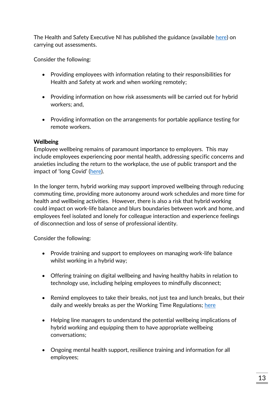The Health and Safety Executive NI has published the guidance (available [here\)](https://www.hseni.gov.uk/publications/example-covid-19-workplace-risk-assessment-template) on carrying out assessments.

Consider the following:

- Providing employees with information relating to their responsibilities for Health and Safety at work and when working remotely;
- Providing information on how risk assessments will be carried out for hybrid workers; and,
- Providing information on the arrangements for portable appliance testing for remote workers.

#### Wellbeing

Employee wellbeing remains of paramount importance to employers. This may include employees experiencing poor mental health, addressing specific concerns and anxieties including the return to the workplace, the use of public transport and the impact of 'long Covid' ([here\)](https://www.nhs.uk/conditions/coronavirus-covid-19/long-term-effects-of-coronavirus-long-covid/).

In the longer term, hybrid working may support improved wellbeing through reducing commuting time, providing more autonomy around work schedules and more time for health and wellbeing activities. However, there is also a risk that hybrid working could impact on work-life balance and blurs boundaries between work and home, and employees feel isolated and lonely for colleague interaction and experience feelings of disconnection and loss of sense of professional identity.

Consider the following:

- Provide training and support to employees on managing work-life balance whilst working in a hybrid way;
- Offering training on digital wellbeing and having healthy habits in relation to technology use, including helping employees to mindfully disconnect;
- Remind employees to take their breaks, not just tea and lunch breaks, but their daily and weekly breaks as per the Working Time Regulations; [here](https://www.legislation.gov.uk/nisr/2016/49/contents/made)
- Helping line managers to understand the potential wellbeing implications of hybrid working and equipping them to have appropriate wellbeing conversations;
- Ongoing mental health support, resilience training and information for all employees;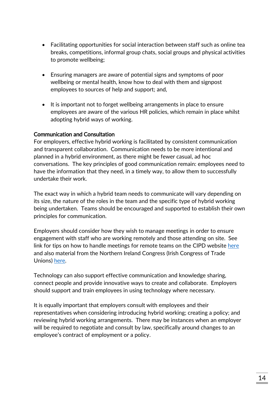- Facilitating opportunities for social interaction between staff such as online tea breaks, competitions, informal group chats, social groups and physical activities to promote wellbeing;
- Ensuring managers are aware of potential signs and symptoms of poor wellbeing or mental health, know how to deal with them and signpost employees to sources of help and support; and,
- It is important not to forget wellbeing arrangements in place to ensure employees are aware of the various HR policies, which remain in place whilst adopting hybrid ways of working.

#### Communication and Consultation

For employers, effective hybrid working is facilitated by consistent communication and transparent collaboration. Communication needs to be more intentional and planned in a hybrid environment, as there might be fewer casual, ad hoc conversations. The key principles of good communication remain: employees need to have the information that they need, in a timely way, to allow them to successfully undertake their work.

The exact way in which a hybrid team needs to communicate will vary depending on its size, the nature of the roles in the team and the specific type of hybrid working being undertaken. Teams should be encouraged and supported to establish their own principles for communication.

Employers should consider how they wish to manage meetings in order to ensure engagement with staff who are working remotely and those attending on site. See link for tips on how to handle meetings for remote teams on the CIPD website [here](https://www.cipd.co.uk/knowledge/fundamentals/relations/flexible-working/hybrid-meeting-top-tips) and also material from the Northern Ireland Congress (Irish Congress of Trade Unions) [here.](https://www.ictuni.org/download/pdf/working_from_home_info_final.pdf)

Technology can also support effective communication and knowledge sharing, connect people and provide innovative ways to create and collaborate. Employers should support and train employees in using technology where necessary.

It is equally important that employers consult with employees and their representatives when considering introducing hybrid working; creating a policy; and reviewing hybrid working arrangements. There may be instances when an employer will be required to negotiate and consult by law, specifically around changes to an employee's contract of employment or a policy.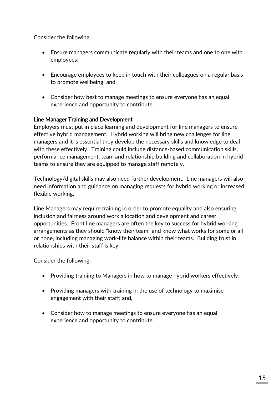Consider the following:

- Ensure managers communicate regularly with their teams and one to one with employees;
- Encourage employees to keep in touch with their colleagues on a regular basis to promote wellbeing; and,
- Consider how best to manage meetings to ensure everyone has an equal experience and opportunity to contribute.

#### Line Manager Training and Development

Employers must put in place learning and development for line managers to ensure effective hybrid management. Hybrid working will bring new challenges for line managers and it is essential they develop the necessary skills and knowledge to deal with these effectively. Training could include distance-based communication skills, performance management, team and relationship building and collaboration in hybrid teams to ensure they are equipped to manage staff remotely.

Technology/digital skills may also need further development. Line managers will also need information and guidance on managing requests for hybrid working or increased flexible working.

Line Managers may require training in order to promote equality and also ensuring inclusion and fairness around work allocation and development and career opportunities. Front line managers are often the key to success for hybrid working arrangements as they should "know their team" and know what works for some or all or none, including managing work-life balance within their teams. Building trust in relationships with their staff is key.

Consider the following:

- Providing training to Managers in how to manage hybrid workers effectively;
- Providing managers with training in the use of technology to maximise engagement with their staff; and,
- Consider how to manage meetings to ensure everyone has an equal experience and opportunity to contribute.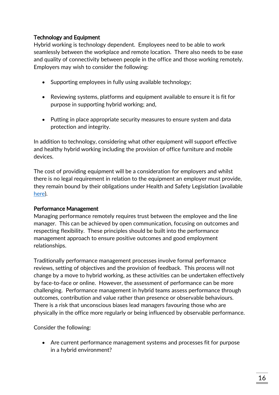#### Technology and Equipment

Hybrid working is technology dependent. Employees need to be able to work seamlessly between the workplace and remote location. There also needs to be ease and quality of connectivity between people in the office and those working remotely. Employers may wish to consider the following:

- Supporting employees in fully using available technology;
- Reviewing systems, platforms and equipment available to ensure it is fit for purpose in supporting hybrid working; and,
- Putting in place appropriate security measures to ensure system and data protection and integrity.

In addition to technology, considering what other equipment will support effective and healthy hybrid working including the provision of office furniture and mobile devices.

The cost of providing equipment will be a consideration for employers and whilst there is no legal requirement in relation to the equipment an employer must provide, they remain bound by their obligations under Health and Safety Legislation (available [here\)](https://www.nidirect.gov.uk/articles/employers-health-and-safety-responsibilities).

#### Performance Management

Managing performance remotely requires trust between the employee and the line manager. This can be achieved by open communication, focusing on outcomes and respecting flexibility. These principles should be built into the performance management approach to ensure positive outcomes and good employment relationships.

Traditionally performance management processes involve formal performance reviews, setting of objectives and the provision of feedback. This process will not change by a move to hybrid working, as these activities can be undertaken effectively by face-to-face or online. However, the assessment of performance can be more challenging. Performance management in hybrid teams assess performance through outcomes, contribution and value rather than presence or observable behaviours. There is a risk that unconscious biases lead managers favouring those who are physically in the office more regularly or being influenced by observable performance.

Consider the following:

 Are current performance management systems and processes fit for purpose in a hybrid environment?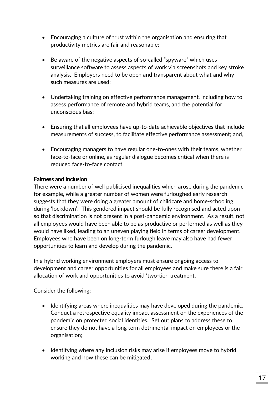- Encouraging a culture of trust within the organisation and ensuring that productivity metrics are fair and reasonable;
- Be aware of the negative aspects of so-called "spyware" which uses surveillance software to assess aspects of work via screenshots and key stroke analysis. Employers need to be open and transparent about what and why such measures are used;
- Undertaking training on effective performance management, including how to assess performance of remote and hybrid teams, and the potential for unconscious bias;
- Ensuring that all employees have up-to-date achievable objectives that include measurements of success, to facilitate effective performance assessment; and,
- Encouraging managers to have regular one-to-ones with their teams, whether face-to-face or online, as regular dialogue becomes critical when there is reduced face-to-face contact

#### Fairness and Inclusion

There were a number of well publicised inequalities which arose during the pandemic for example, while a greater number of women were furloughed early research suggests that they were doing a greater amount of childcare and home-schooling during 'lockdown'. This gendered impact should be fully recognised and acted upon so that discrimination is not present in a post-pandemic environment. As a result, not all employees would have been able to be as productive or performed as well as they would have liked, leading to an uneven playing field in terms of career development. Employees who have been on long-term furlough leave may also have had fewer opportunities to learn and develop during the pandemic.

In a hybrid working environment employers must ensure ongoing access to development and career opportunities for all employees and make sure there is a fair allocation of work and opportunities to avoid 'two-tier' treatment.

Consider the following:

- Identifying areas where inequalities may have developed during the pandemic. Conduct a retrospective equality impact assessment on the experiences of the pandemic on protected social identities. Set out plans to address these to ensure they do not have a long term detrimental impact on employees or the organisation;
- Identifying where any inclusion risks may arise if employees move to hybrid working and how these can be mitigated;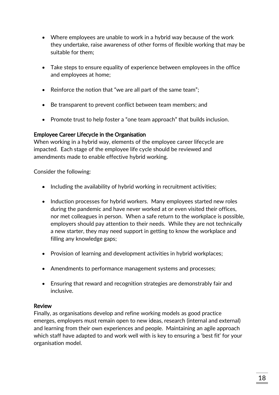- Where employees are unable to work in a hybrid way because of the work they undertake, raise awareness of other forms of flexible working that may be suitable for them;
- Take steps to ensure equality of experience between employees in the office and employees at home;
- Reinforce the notion that "we are all part of the same team";
- Be transparent to prevent conflict between team members; and
- Promote trust to help foster a "one team approach" that builds inclusion.

#### Employee Career Lifecycle in the Organisation

When working in a hybrid way, elements of the employee career lifecycle are impacted. Each stage of the employee life cycle should be reviewed and amendments made to enable effective hybrid working.

Consider the following:

- $\bullet$  Including the availability of hybrid working in recruitment activities;
- Induction processes for hybrid workers. Many employees started new roles during the pandemic and have never worked at or even visited their offices, nor met colleagues in person. When a safe return to the workplace is possible, employers should pay attention to their needs. While they are not technically a new starter, they may need support in getting to know the workplace and filling any knowledge gaps;
- Provision of learning and development activities in hybrid workplaces;
- Amendments to performance management systems and processes;
- Ensuring that reward and recognition strategies are demonstrably fair and inclusive.

#### Review

Finally, as organisations develop and refine working models as good practice emerges, employers must remain open to new ideas, research (internal and external) and learning from their own experiences and people. Maintaining an agile approach which staff have adapted to and work well with is key to ensuring a 'best fit' for your organisation model.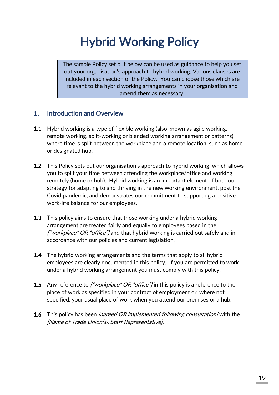# Hybrid Working Policy

The sample Policy set out below can be used as guidance to help you set out your organisation's approach to hybrid working. Various clauses are included in each section of the Policy. You can choose those which are relevant to the hybrid working arrangements in your organisation and amend them as necessary.

# 1. Introduction and Overview

- 1.1 Hybrid working is a type of flexible working (also known as agile working, remote working, split-working or blended working arrangement or patterns) where time is split between the workplace and a remote location, such as home or designated hub.
- 1.2 This Policy sets out our organisation's approach to hybrid working, which allows you to split your time between attending the workplace/office and working remotely (home or hub). Hybrid working is an important element of both our strategy for adapting to and thriving in the new working environment, post the Covid pandemic, and demonstrates our commitment to supporting a positive work-life balance for our employees.
- 1.3 This policy aims to ensure that those working under a hybrid working arrangement are treated fairly and equally to employees based in the *["workplace" OR "office"*/and that hybrid working is carried out safely and in accordance with our policies and current legislation.
- **1.4** The hybrid working arrangements and the terms that apply to all hybrid employees are clearly documented in this policy. If you are permitted to work under a hybrid working arrangement you must comply with this policy.
- 1.5 Any reference to *["workplace" OR "office"*/ in this policy is a reference to the place of work as specified in your contract of employment or, where not specified, your usual place of work when you attend our premises or a hub.
- **1.6** This policy has been *[agreed OR implemented following consultation]* with the [Name of Trade Union(s), Staff Representative].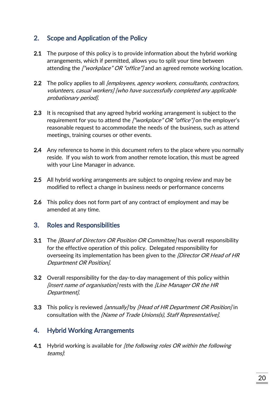# 2. Scope and Application of the Policy

- 2.1 The purpose of this policy is to provide information about the hybrid working arrangements, which if permitted, allows you to split your time between attending the ["workplace" OR "office"] and an agreed remote working location.
- 2.2 The policy applies to all *[employees, agency workers, consultants, contractors,* volunteers, casual workers] [who have successfully completed any applicable probationary period].
- 2.3 It is recognised that any agreed hybrid working arrangement is subject to the requirement for you to attend the ["workplace" OR "office"] on the employer's reasonable request to accommodate the needs of the business, such as attend meetings, training courses or other events.
- 2.4 Any reference to home in this document refers to the place where you normally reside. If you wish to work from another remote location, this must be agreed with your Line Manager in advance.
- 2.5 All hybrid working arrangements are subject to ongoing review and may be modified to reflect a change in business needs or performance concerns
- 2.6 This policy does not form part of any contract of employment and may be amended at any time.

### 3. Roles and Responsibilities

- 3.1 The *[Board of Directors OR Position OR Committee]* has overall responsibility for the effective operation of this policy. Delegated responsibility for overseeing its implementation has been given to the *[Director OR Head of HR* Department OR Position].
- 3.2 Overall responsibility for the day-to-day management of this policy within  $\beta$  linsert name of organisation] rests with the *[Line Manager OR the HR* Department].
- **3.3** This policy is reviewed [annually] by [Head of HR Department OR Position] in consultation with the [Name of Trade Unions(s), Staff Representative].

# 4. Hybrid Working Arrangements

4.1 Hybrid working is available for *[the following roles OR within the following* teams):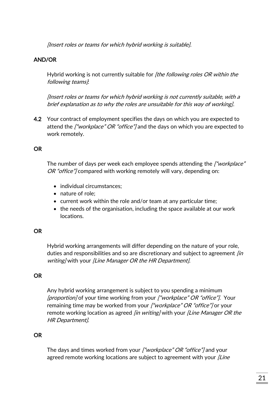[Insert roles or teams for which hybrid working is suitable].

#### AND/OR

Hybrid working is not currently suitable for *[the following roles OR within the* following teams].

[Insert roles or teams for which hybrid working is not currently suitable, with a brief explanation as to why the roles are unsuitable for this way of working].

4.2 Your contract of employment specifies the days on which you are expected to attend the ["workplace" OR "office"] and the days on which you are expected to work remotely.

#### **OR**

The number of days per week each employee spends attending the ["workplace" OR "office"] compared with working remotely will vary, depending on:

- individual circumstances;
- nature of role:
- current work within the role and/or team at any particular time;
- $\bullet$  the needs of the organisation, including the space available at our work locations.

#### OR

Hybrid working arrangements will differ depending on the nature of your role, duties and responsibilities and so are discretionary and subject to agreement *[in*] writing/with your [Line Manager OR the HR Department].

#### **OR**

Any hybrid working arrangement is subject to you spending a minimum [proportion] of your time working from your ["workplace" OR "office"]. Your remaining time may be worked from your ["workplace" OR "office"] or your remote working location as agreed *[in writing]* with your *[Line Manager OR the* HR Department].

#### **OR**

The days and times worked from your ["workplace" OR "office"] and your agreed remote working locations are subject to agreement with your *[Line*]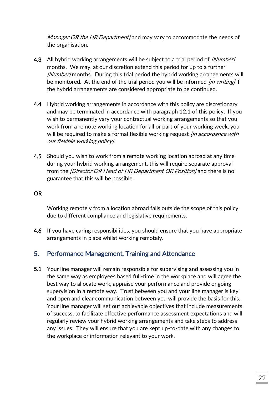Manager OR the HR Department] and may vary to accommodate the needs of the organisation.

- 4.3 All hybrid working arrangements will be subject to a trial period of [Number] months. We may, at our discretion extend this period for up to a further [Number] months. During this trial period the hybrid working arrangements will be monitored. At the end of the trial period you will be informed *[in writing]* if the hybrid arrangements are considered appropriate to be continued.
- 4.4 Hybrid working arrangements in accordance with this policy are discretionary and may be terminated in accordance with paragraph 12.1 of this policy. If you wish to permanently vary your contractual working arrangements so that you work from a remote working location for all or part of your working week, you will be required to make a formal flexible working request *[in accordance with* our flexible working policy].
- 4.5 Should you wish to work from a remote working location abroad at any time during your hybrid working arrangement, this will require separate approval from the *[Director OR Head of HR Department OR Position]* and there is no guarantee that this will be possible.

#### OR

Working remotely from a location abroad falls outside the scope of this policy due to different compliance and legislative requirements.

4.6 If you have caring responsibilities, you should ensure that you have appropriate arrangements in place whilst working remotely.

### 5. Performance Management, Training and Attendance

5.1 Your line manager will remain responsible for supervising and assessing you in the same way as employees based full-time in the workplace and will agree the best way to allocate work, appraise your performance and provide ongoing supervision in a remote way. Trust between you and your line manager is key and open and clear communication between you will provide the basis for this. Your line manager will set out achievable objectives that include measurements of success, to facilitate effective performance assessment expectations and will regularly review your hybrid working arrangements and take steps to address any issues. They will ensure that you are kept up-to-date with any changes to the workplace or information relevant to your work.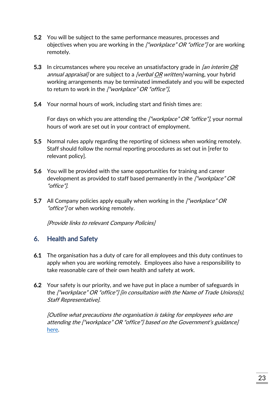- 5.2 You will be subject to the same performance measures, processes and objectives when you are working in the ["workplace" OR "office"] or are working remotely.
- 5.3 In circumstances where you receive an unsatisfactory grade in *[an interim OR* annual appraisal] or are subject to a [verbal OR written] warning, your hybrid working arrangements may be terminated immediately and you will be expected to return to work in the ["workplace" OR "office"].
- 5.4 Your normal hours of work, including start and finish times are:

For days on which you are attending the ["workplace" OR "office"], your normal hours of work are set out in your contract of employment.

- 5.5 Normal rules apply regarding the reporting of sickness when working remotely. Staff should follow the normal reporting procedures as set out in [refer to relevant policy].
- 5.6 You will be provided with the same opportunities for training and career development as provided to staff based permanently in the *["workplace" OR* "office"].
- 5.7 All Company policies apply equally when working in the ["workplace" OR "office"] or when working remotely.

[Provide links to relevant Company Policies]

# 6. Health and Safety

- 6.1 The organisation has a duty of care for all employees and this duty continues to apply when you are working remotely. Employees also have a responsibility to take reasonable care of their own health and safety at work.
- 6.2 Your safety is our priority, and we have put in place a number of safeguards in the ["workplace" OR "office"] [in consultation with the Name of Trade Unions(s), Staff Representative].

[Outline what precautions the organisation is taking for employees who are attending the ["workplace" OR "office"] based on the Government's guidance] [here.](ttps://www.gov.uk/guidance/working-safely-during-covid-19)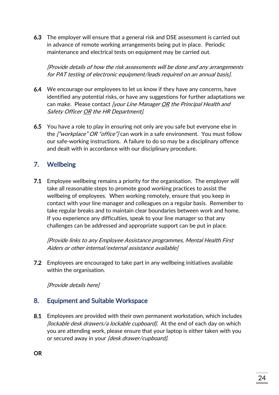6.3 The employer will ensure that a general risk and DSE assessment is carried out in advance of remote working arrangements being put in place. Periodic maintenance and electrical tests on equipment may be carried out.

[Provide details of how the risk assessments will be done and any arrangements for PAT testing of electronic equipment/leads required on an annual basis].

- 6.4 We encourage our employees to let us know if they have any concerns, have identified any potential risks, or have any suggestions for further adaptations we can make. Please contact [your Line Manager OR the Principal Health and Safety Officer OR the HR Department].
- 6.5 You have a role to play in ensuring not only are you safe but everyone else in the ["workplace" OR "office"] can work in a safe environment. You must follow our safe-working instructions. A failure to do so may be a disciplinary offence and dealt with in accordance with our disciplinary procedure.

# 7. Wellbeing

7.1 Employee wellbeing remains a priority for the organisation. The employer will take all reasonable steps to promote good working practices to assist the wellbeing of employees. When working remotely, ensure that you keep in contact with your line manager and colleagues on a regular basis. Remember to take regular breaks and to maintain clear boundaries between work and home. If you experience any difficulties, speak to your line manager so that any challenges can be addressed and appropriate support can be put in place.

[Provide links to any Employee Assistance programmes, Mental Health First Aiders or other internal/external assistance available]

7.2 Employees are encouraged to take part in any wellbeing initiatives available within the organisation.

[Provide details here]

# 8. Equipment and Suitable Workspace

8.1 Employees are provided with their own permanent workstation, which includes [lockable desk drawers/a lockable cupboard]. At the end of each day on which you are attending work, please ensure that your laptop is either taken with you or secured away in your [desk drawer/cupboard].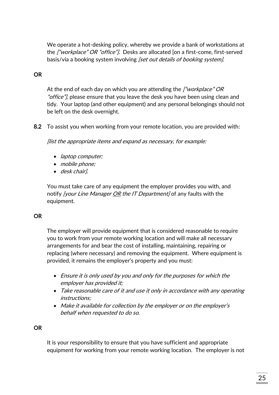We operate a hot-desking policy, whereby we provide a bank of workstations at the ["workplace" OR "office"]. Desks are allocated [on a first-come, first-served basis/via a booking system involving *[set out details of booking system]*.

#### OR

At the end of each day on which you are attending the ["workplace" OR "office"], please ensure that you leave the desk you have been using clean and tidy. Your laptop (and other equipment) and any personal belongings should not be left on the desk overnight.

8.2 To assist you when working from your remote location, you are provided with:

[list the appropriate items and expand as necessary, for example:

- *laptop computer;*
- mobile phone;
- desk chair].

You must take care of any equipment the employer provides you with, and notify [your Line Manager OR the IT Department] of any faults with the equipment.

#### **OR**

The employer will provide equipment that is considered reasonable to require you to work from your remote working location and will make all necessary arrangements for and bear the cost of installing, maintaining, repairing or replacing (where necessary) and removing the equipment. Where equipment is provided, it remains the employer's property and you must:

- Ensure it is only used by you and only for the purposes for which the employer has provided it;
- Take reasonable care of it and use it only in accordance with any operating instructions;
- Make it available for collection by the employer or on the employer's behalf when requested to do so.

#### **OR**

It is your responsibility to ensure that you have sufficient and appropriate equipment for working from your remote working location. The employer is not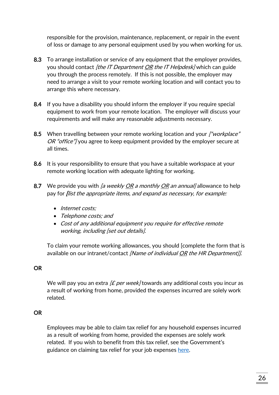responsible for the provision, maintenance, replacement, or repair in the event of loss or damage to any personal equipment used by you when working for us.

- 8.3 To arrange installation or service of any equipment that the employer provides, you should contact [the IT Department OR the IT Helpdesk] which can guide you through the process remotely. If this is not possible, the employer may need to arrange a visit to your remote working location and will contact you to arrange this where necessary.
- 8.4 If you have a disability you should inform the employer if you require special equipment to work from your remote location. The employer will discuss your requirements and will make any reasonable adjustments necessary.
- 8.5 When travelling between your remote working location and your ["workplace" OR "office"] you agree to keep equipment provided by the employer secure at all times.
- 8.6 It is your responsibility to ensure that you have a suitable workspace at your remote working location with adequate lighting for working.
- 8.7 We provide you with [a weekly  $OR$  a monthly  $OR$  an annual] allowance to help pay for [list the appropriate items, and expand as necessary, for example:
	- Internet costs;
	- Telephone costs; and
	- Cost of any additional equipment you require for effective remote working, including [set out details].

To claim your remote working allowances, you should [complete the form that is available on our intranet/contact [Name of individual OR the HR Department]].

#### OR

We will pay you an extra  $/E$  per week] towards any additional costs you incur as a result of working from home, provided the expenses incurred are solely work related.

#### **OR**

Employees may be able to claim tax relief for any household expenses incurred as a result of working from home, provided the expenses are solely work related. If you wish to benefit from this tax relief, see the Government's guidance on claiming tax relief for your job expenses [here.](https://www.gov.uk/tax-relief-for-employees/working-at-home)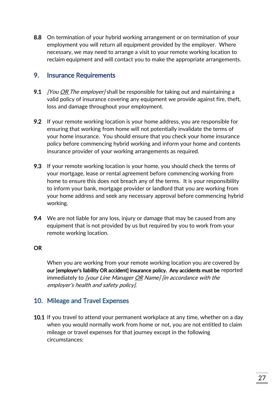8.8 On termination of your hybrid working arrangement or on termination of your employment you will return all equipment provided by the employer. Where necessary, we may need to arrange a visit to your remote working location to reclaim equipment and will contact you to make the appropriate arrangements.

#### 9. Insurance Requirements

- 9.1 *[You OR The employer]* shall be responsible for taking out and maintaining a valid policy of insurance covering any equipment we provide against fire, theft, loss and damage throughout your employment.
- 9.2 If your remote working location is your home address, you are responsible for ensuring that working from home will not potentially invalidate the terms of your home insurance. You should ensure that you check your home insurance policy before commencing hybrid working and inform your home and contents insurance provider of your working arrangements as required.
- 9.3 If your remote working location is your home, you should check the terms of your mortgage, lease or rental agreement before commencing working from home to ensure this does not breach any of the terms. It is your responsibility to inform your bank, mortgage provider or landlord that you are working from your home address and seek any necessary approval before commencing hybrid working.
- 9.4 We are not liable for any loss, injury or damage that may be caused from any equipment that is not provided by us but required by you to work from your remote working location.

#### OR

When you are working from your remote working location you are covered by our [employer's liability OR accident] insurance policy. Any accidents must be reported immediately to [your Line Manager OR Name] [in accordance with the employer's health and safety policy].

# 10. Mileage and Travel Expenses

10.1 If you travel to attend your permanent workplace at any time, whether on a day when you would normally work from home or not, you are not entitled to claim mileage or travel expenses for that journey except in the following circumstances: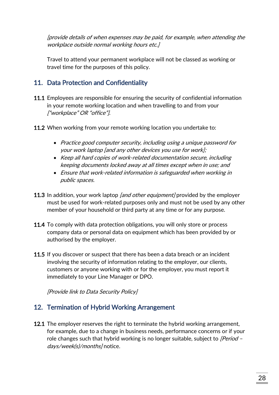[provide details of when expenses may be paid, for example, when attending the workplace outside normal working hours etc.]

Travel to attend your permanent workplace will not be classed as working or travel time for the purposes of this policy.

# 11. Data Protection and Confidentiality

- 11.1 Employees are responsible for ensuring the security of confidential information in your remote working location and when travelling to and from your ["workplace" OR "office"].
- 11.2 When working from your remote working location you undertake to:
	- Practice good computer security, including using a unique password for your work laptop [and any other devices you use for work];
	- Keep all hard copies of work-related documentation secure, including keeping documents locked away at all times except when in use; and
	- Ensure that work-related information is safeguarded when working in public spaces.
- **11.3** In addition, your work laptop *[and other equipment]* provided by the employer must be used for work-related purposes only and must not be used by any other member of your household or third party at any time or for any purpose.
- 11.4 To comply with data protection obligations, you will only store or process company data or personal data on equipment which has been provided by or authorised by the employer.
- 11.5 If you discover or suspect that there has been a data breach or an incident involving the security of information relating to the employer, our clients, customers or anyone working with or for the employer, you must report it immediately to your Line Manager or DPO.

[Provide link to Data Security Policy]

### 12. Termination of Hybrid Working Arrangement

**12.1** The employer reserves the right to terminate the hybrid working arrangement, for example, due to a change in business needs, performance concerns or if your role changes such that hybrid working is no longer suitable, subject to [Period days/week(s)/months] notice.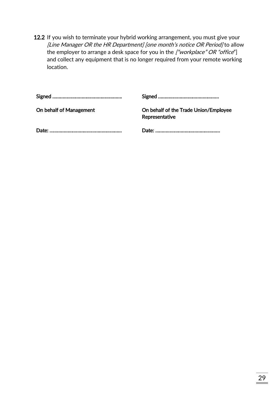12.2 If you wish to terminate your hybrid working arrangement, you must give your [Line Manager OR the HR Department] [one month's notice OR Period] to allow the employer to arrange a desk space for you in the  $['worker$  *workplace" OR "office*"] and collect any equipment that is no longer required from your remote working location.

| On behalf of Management | On behalf of the Trade Union/Employee<br>Representative |
|-------------------------|---------------------------------------------------------|
|                         |                                                         |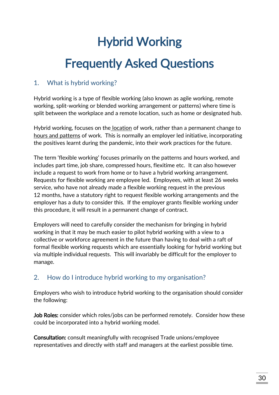# Hybrid Working Frequently Asked Questions

# 1. What is hybrid working?

Hybrid working is a type of flexible working (also known as agile working, remote working, split-working or blended working arrangement or patterns) where time is split between the workplace and a remote location, such as home or designated hub.

Hybrid working, focuses on the location of work, rather than a permanent change to hours and patterns of work. This is normally an employer led initiative, incorporating the positives learnt during the pandemic, into their work practices for the future.

The term 'flexible working' focuses primarily on the patterns and hours worked, and includes part time, job share, compressed hours, flexitime etc. It can also however include a request to work from home or to have a hybrid working arrangement. Requests for flexible working are employee led. Employees, with at least 26 weeks service, who have not already made a flexible working request in the previous 12 months, have a statutory right to request flexible working arrangements and the employer has a duty to consider this. If the employer grants flexible working under this procedure, it will result in a permanent change of contract.

Employers will need to carefully consider the mechanism for bringing in hybrid working in that it may be much easier to pilot hybrid working with a view to a collective or workforce agreement in the future than having to deal with a raft of formal flexible working requests which are essentially looking for hybrid working but via multiple individual requests. This will invariably be difficult for the employer to manage.

# 2. How do I introduce hybrid working to my organisation?

Employers who wish to introduce hybrid working to the organisation should consider the following:

Job Roles: consider which roles/jobs can be performed remotely. Consider how these could be incorporated into a hybrid working model.

Consultation: consult meaningfully with recognised Trade unions/employee representatives and directly with staff and managers at the earliest possible time.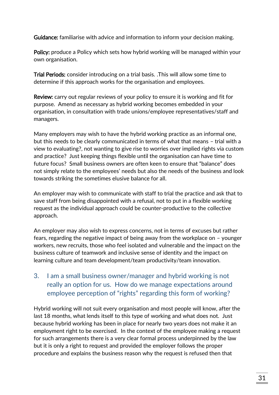Guidance: familiarise with advice and information to inform your decision making.

Policy: produce a Policy which sets how hybrid working will be managed within your own organisation.

Trial Periods: consider introducing on a trial basis. .This will allow some time to determine if this approach works for the organisation and employees.

Review: carry out regular reviews of your policy to ensure it is working and fit for purpose. Amend as necessary as hybrid working becomes embedded in your organisation, in consultation with trade unions/employee representatives/staff and managers.

Many employers may wish to have the hybrid working practice as an informal one, but this needs to be clearly communicated in terms of what that means – trial with a view to evaluating?, not wanting to give rise to worries over implied rights via custom and practice? Just keeping things flexible until the organisation can have time to future focus? Small business owners are often keen to ensure that "balance" does not simply relate to the employees' needs but also the needs of the business and look towards striking the sometimes elusive balance for all.

An employer may wish to communicate with staff to trial the practice and ask that to save staff from being disappointed with a refusal, not to put in a flexible working request as the individual approach could be counter-productive to the collective approach.

An employer may also wish to express concerns, not in terms of excuses but rather fears, regarding the negative impact of being away from the workplace on – younger workers, new recruits, those who feel isolated and vulnerable and the impact on the business culture of teamwork and inclusive sense of identity and the impact on learning culture and team development/team productivity/team innovation.

# 3. I am a small business owner/manager and hybrid working is not really an option for us. How do we manage expectations around employee perception of "rights" regarding this form of working?

Hybrid working will not suit every organisation and most people will know, after the last 18 months, what lends itself to this type of working and what does not. Just because hybrid working has been in place for nearly two years does not make it an employment right to be exercised. In the context of the employee making a request for such arrangements there is a very clear formal process underpinned by the law but it is only a right to request and provided the employer follows the proper procedure and explains the business reason why the request is refused then that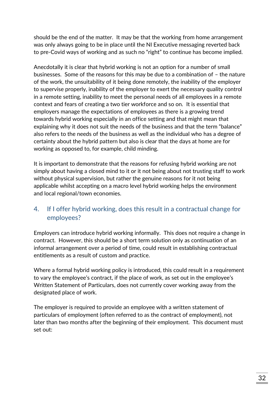should be the end of the matter. It may be that the working from home arrangement was only always going to be in place until the NI Executive messaging reverted back to pre-Covid ways of working and as such no "right" to continue has become implied.

Anecdotally it is clear that hybrid working is not an option for a number of small businesses. Some of the reasons for this may be due to a combination of – the nature of the work, the unsuitability of it being done remotely, the inability of the employer to supervise properly, inability of the employer to exert the necessary quality control in a remote setting, inability to meet the personal needs of all employees in a remote context and fears of creating a two tier workforce and so on. It is essential that employers manage the expectations of employees as there is a growing trend towards hybrid working especially in an office setting and that might mean that explaining why it does not suit the needs of the business and that the term "balance" also refers to the needs of the business as well as the individual who has a degree of certainty about the hybrid pattern but also is clear that the days at home are for working as opposed to, for example, child minding.

It is important to demonstrate that the reasons for refusing hybrid working are not simply about having a closed mind to it or it not being about not trusting staff to work without physical supervision, but rather the genuine reasons for it not being applicable whilst accepting on a macro level hybrid working helps the environment and local regional/town economies.

# 4. If I offer hybrid working, does this result in a contractual change for employees?

Employers can introduce hybrid working informally. This does not require a change in contract. However, this should be a short term solution only as continuation of an informal arrangement over a period of time, could result in establishing contractual entitlements as a result of custom and practice.

Where a formal hybrid working policy is introduced, this could result in a requirement to vary the employee's contract, if the place of work, as set out in the employee's Written Statement of Particulars, does not currently cover working away from the designated place of work.

The employer is required to provide an employee with a written statement of particulars of employment (often referred to as the contract of employment), not later than two months after the beginning of their employment. This document must set out: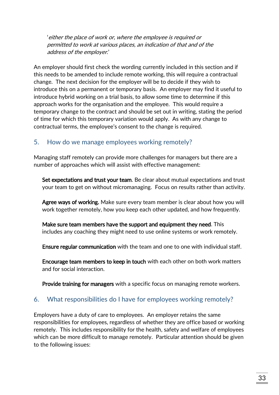'either the place of work or, where the employee is required or permitted to work at various places, an indication of that and of the address of the employer.'

An employer should first check the wording currently included in this section and if this needs to be amended to include remote working, this will require a contractual change. The next decision for the employer will be to decide if they wish to introduce this on a permanent or temporary basis. An employer may find it useful to introduce hybrid working on a trial basis, to allow some time to determine if this approach works for the organisation and the employee. This would require a temporary change to the contract and should be set out in writing, stating the period of time for which this temporary variation would apply. As with any change to contractual terms, the employee's consent to the change is required.

## 5. How do we manage employees working remotely?

Managing staff remotely can provide more challenges for managers but there are a number of approaches which will assist with effective management:

Set expectations and trust your team. Be clear about mutual expectations and trust your team to get on without micromanaging. Focus on results rather than activity.

Agree ways of working. Make sure every team member is clear about how you will work together remotely, how you keep each other updated, and how frequently.

Make sure team members have the support and equipment they need. This includes any coaching they might need to use online systems or work remotely.

Ensure regular communication with the team and one to one with individual staff.

Encourage team members to keep in touch with each other on both work matters and for social interaction.

Provide training for managers with a specific focus on managing remote workers.

# 6. What responsibilities do I have for employees working remotely?

Employers have a duty of care to employees. An employer retains the same responsibilities for employees, regardless of whether they are office based or working remotely. This includes responsibility for the health, safety and welfare of employees which can be more difficult to manage remotely. Particular attention should be given to the following issues: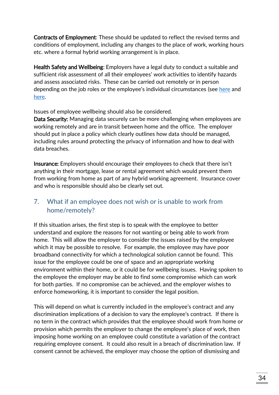Contracts of Employment: These should be updated to reflect the revised terms and conditions of employment, including any changes to the place of work, working hours etc. where a formal hybrid working arrangement is in place.

Health Safety and Wellbeing: Employers have a legal duty to conduct a suitable and sufficient risk assessment of all their employees' work activities to identify hazards and assess associated risks. These can be carried out remotely or in person depending on the job roles or the employee's individual circumstances (see [here](https://www.hse.gov.uk/pubns/ck1.pdf) and [here.](https://www.hse.gov.uk/toolbox/workers/home.htm)

Issues of employee wellbeing should also be considered.

Data Security: Managing data securely can be more challenging when employees are working remotely and are in transit between home and the office. The employer should put in place a policy which clearly outlines how data should be managed, including rules around protecting the privacy of information and how to deal with data breaches.

Insurance: Employers should encourage their employees to check that there isn't anything in their mortgage, lease or rental agreement which would prevent them from working from home as part of any hybrid working agreement. Insurance cover and who is responsible should also be clearly set out.

# 7. What if an employee does not wish or is unable to work from home/remotely?

If this situation arises, the first step is to speak with the employee to better understand and explore the reasons for not wanting or being able to work from home. This will allow the employer to consider the issues raised by the employee which it may be possible to resolve. For example, the employee may have poor broadband connectivity for which a technological solution cannot be found. This issue for the employee could be one of space and an appropriate working environment within their home, or it could be for wellbeing issues. Having spoken to the employee the employer may be able to find some compromise which can work for both parties. If no compromise can be achieved, and the employer wishes to enforce homeworking, it is important to consider the legal position.

This will depend on what is currently included in the employee's contract and any discrimination implications of a decision to vary the employee's contract. If there is no term in the contract which provides that the employee should work from home or provision which permits the employer to change the employee's place of work, then imposing home working on an employee could constitute a variation of the contract requiring employee consent. It could also result in a breach of discrimination law. If consent cannot be achieved, the employer may choose the option of dismissing and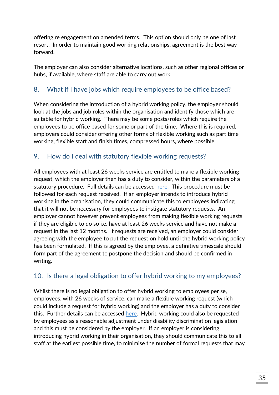offering re engagement on amended terms. This option should only be one of last resort. In order to maintain good working relationships, agreement is the best way forward.

The employer can also consider alternative locations, such as other regional offices or hubs, if available, where staff are able to carry out work.

# 8. What if I have jobs which require employees to be office based?

When considering the introduction of a hybrid working policy, the employer should look at the jobs and job roles within the organisation and identify those which are suitable for hybrid working. There may be some posts/roles which require the employees to be office based for some or part of the time. Where this is required, employers could consider offering other forms of flexible working such as part time working, flexible start and finish times, compressed hours, where possible.

## 9. How do I deal with statutory flexible working requests?

All employees with at least 26 weeks service are entitled to make a flexible working request, which the employer then has a duty to consider, within the parameters of a statutory procedure. Full details can be accessed [here.](https://www.lra.org.uk/resources/advisory-guide/flexible-working-right-request-and-duty-consider) This procedure must be followed for each request received. If an employer intends to introduce hybrid working in the organisation, they could communicate this to employees indicating that it will not be necessary for employees to instigate statutory requests. An employer cannot however prevent employees from making flexible working requests if they are eligible to do so i.e. have at least 26 weeks service and have not make a request in the last 12 months. If requests are received, an employer could consider agreeing with the employee to put the request on hold until the hybrid working policy has been formulated. If this is agreed by the employee, a definitive timescale should form part of the agreement to postpone the decision and should be confirmed in writing.

# 10. Is there a legal obligation to offer hybrid working to my employees?

Whilst there is no legal obligation to offer hybrid working to employees per se, employees, with 26 weeks of service, can make a flexible working request (which could include a request for hybrid working) and the employer has a duty to consider this. Further details can be accessed [here.](https://www.lra.org.uk/resources/advisory-guide/flexible-working-right-request-and-duty-consider) Hybrid working could also be requested by employees as a reasonable adjustment under disability discrimination legislation and this must be considered by the employer. If an employer is considering introducing hybrid working in their organisation, they should communicate this to all staff at the earliest possible time, to minimise the number of formal requests that may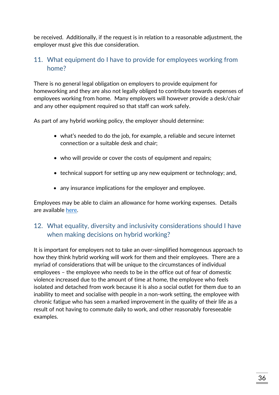be received. Additionally, if the request is in relation to a reasonable adjustment, the employer must give this due consideration.

# 11. What equipment do I have to provide for employees working from home?

There is no general legal obligation on employers to provide equipment for homeworking and they are also not legally obliged to contribute towards expenses of employees working from home. Many employers will however provide a desk/chair and any other equipment required so that staff can work safely.

As part of any hybrid working policy, the employer should determine:

- what's needed to do the job, for example, a reliable and secure internet connection or a suitable desk and chair;
- who will provide or cover the costs of equipment and repairs;
- technical support for setting up any new equipment or technology; and,
- any insurance implications for the employer and employee.

Employees may be able to claim an allowance for home working expenses. Details are available [here.](https://www.gov.uk/tax-relief-for-employees/working-at-home)

# 12. What equality, diversity and inclusivity considerations should I have when making decisions on hybrid working?

It is important for employers not to take an over-simplified homogenous approach to how they think hybrid working will work for them and their employees. There are a myriad of considerations that will be unique to the circumstances of individual employees – the employee who needs to be in the office out of fear of domestic violence increased due to the amount of time at home, the employee who feels isolated and detached from work because it is also a social outlet for them due to an inability to meet and socialise with people in a non-work setting, the employee with chronic fatigue who has seen a marked improvement in the quality of their life as a result of not having to commute daily to work, and other reasonably foreseeable examples.